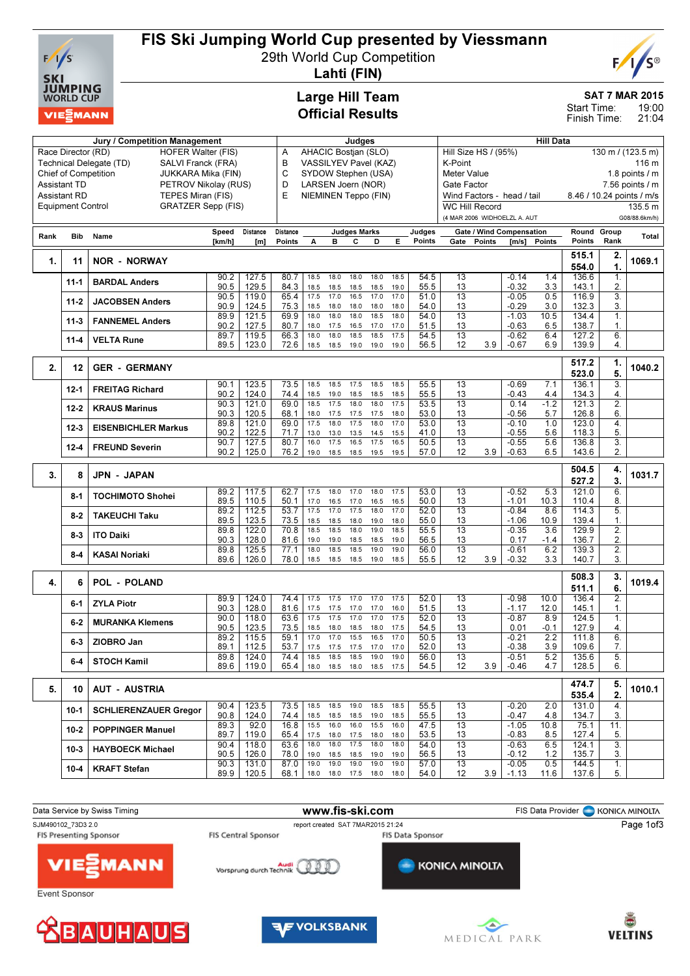

## FIS Ski Jumping World Cup presented by Viessmann

29th World Cup Competition



Lahti (FIN)

### Large Hill Team Official Results

Jury / Competition Management Judges

#### SAT 7 MAR 2015

19:00 Start Time:

|                      | Finish Time:        | 21:04           |  |
|----------------------|---------------------|-----------------|--|
|                      | <b>Hill Data</b>    |                 |  |
| Hill Size HS / (95%) | 130 m / $(123.5 m)$ |                 |  |
| K-Point              |                     | 116 m           |  |
| Meter Value          |                     | 1.8 points $/m$ |  |

|      |                     | Race Director (RD)<br><b>HOFER Walter (FIS)</b>       |              |                | AHACIC Bostjan (SLO)<br>Α<br>VASSILYEV Pavel (KAZ) |                           |                             |                     |              |              | Hill Size HS / (95%) |                            |                                 |                    | $130 \text{ m}$ / (123.5 m) |                           |                        |               |
|------|---------------------|-------------------------------------------------------|--------------|----------------|----------------------------------------------------|---------------------------|-----------------------------|---------------------|--------------|--------------|----------------------|----------------------------|---------------------------------|--------------------|-----------------------------|---------------------------|------------------------|---------------|
|      |                     | Technical Delegate (TD)<br>SALVI Franck (FRA)         |              |                | в                                                  |                           |                             |                     |              |              |                      | K-Point                    |                                 |                    |                             | 116 m                     |                        |               |
|      |                     | <b>Chief of Competition</b><br>JUKKARA Mika (FIN)     |              |                | С                                                  | SYDOW Stephen (USA)       |                             |                     |              |              |                      | <b>Meter Value</b>         |                                 |                    |                             | 1.8 points / m            |                        |               |
|      | <b>Assistant TD</b> | PETROV Nikolay (RUS)                                  |              |                | D                                                  | LARSEN Joern (NOR)        |                             |                     |              |              |                      | Gate Factor                |                                 |                    | 7.56 points $\sqrt{}$ m     |                           |                        |               |
|      | <b>Assistant RD</b> | TEPES Miran (FIS)                                     |              |                |                                                    | E<br>NIEMINEN Teppo (FIN) |                             |                     |              |              |                      | Wind Factors - head / tail |                                 |                    |                             | 8.46 / 10.24 points / m/s |                        |               |
|      |                     | <b>Equipment Control</b><br><b>GRATZER Sepp (FIS)</b> |              |                |                                                    |                           |                             |                     |              |              |                      |                            | <b>WC Hill Record</b>           |                    |                             |                           |                        | 135.5 m       |
|      |                     |                                                       |              |                |                                                    |                           |                             |                     |              |              |                      |                            | (4 MAR 2006 WIDHOELZL A. AUT    |                    |                             |                           |                        | G08/88.6km/h) |
| Rank | Bib                 | Name                                                  | Speed        | Distance       | Distance                                           |                           |                             | <b>Judges Marks</b> |              |              | Judges               |                            | <b>Gate / Wind Compensation</b> |                    |                             | Round Group               |                        | Total         |
|      |                     |                                                       | [km/h]       | [m]            | Points                                             | A                         | в                           | С                   | D            | Е            | Points               | Gate                       | Points                          | [m/s]              | Points                      | Points                    | Rank                   |               |
|      |                     |                                                       |              |                |                                                    |                           |                             |                     |              |              |                      |                            |                                 |                    |                             | 515.1                     | 2.                     |               |
| 1.   | 11                  | <b>NOR - NORWAY</b>                                   |              |                |                                                    |                           |                             |                     |              |              |                      |                            |                                 |                    |                             | 554.0                     | 1.                     | 1069.1        |
|      | 11-1                | <b>BARDAL Anders</b>                                  | 90.2         | 127.5          | 80.7                                               | 18.5                      | 18.0                        | 18.0                | 18.0         | 18.5         | 54.5                 | 13                         |                                 | $-0.14$            | 1.4                         | 136.6                     | 1.                     |               |
|      |                     |                                                       | 90.5         | 129.5          | 84.3                                               | 18.5                      | 18.5                        | 18.5                | 18.5         | 19.0         | 55.5                 | 13                         |                                 | $-0.32$            | 3.3                         | 143.1                     | 2.                     |               |
|      | 11-2                | <b>JACOBSEN Anders</b>                                | 90.5<br>90.9 | 119.0          | 65.4                                               | 17.5                      | 17.0                        | 16.5                | 17.0         | 17.0         | 51.0<br>54.0         | 13                         |                                 | $-0.05$            | 0.5                         | 116.9                     | 3.                     |               |
|      |                     |                                                       | 89.9         | 124.5<br>121.5 | 75.3<br>69.9                                       | 18.5<br>18.0              | 18.0<br>18.0                | 18.0<br>18.0        | 18.0<br>18.5 | 18.0<br>18.0 | 54.0                 | 13<br>$\overline{13}$      |                                 | $-0.29$<br>$-1.03$ | 3.0<br>10.5                 | 132.3<br>134.4            | 3.<br>$\overline{1}$ . |               |
|      | $11-3$              | <b>FANNEMEL Anders</b>                                | 90.2         | 127.5          | 80.7                                               | 18.0                      | 17.5                        | 16.5                | 17.0         | 17.0         | 51.5                 | 13                         |                                 | $-0.63$            | 6.5                         | 138.7                     | 1.                     |               |
|      | 11-4                | <b>VELTA Rune</b>                                     | 89.7         | 119.5          | 66.3                                               | 18.0                      | 18.0                        | 18.5                | 18.5         | 17.5         | 54.5                 | 13                         |                                 | $-0.62$            | 6.4                         | 127.2                     | 6.                     |               |
|      |                     |                                                       | 89.5         | 123.0          | 72.6                                               | 18.5                      | 18.5                        | 19.0                | 19.0         | 19.0         | 56.5                 | 12                         | 3.9                             | $-0.67$            | 6.9                         | 139.9                     | 4.                     |               |
|      |                     |                                                       |              |                |                                                    |                           |                             |                     |              |              |                      |                            |                                 |                    |                             | 517.2                     | 1.                     |               |
| 2.   | 12                  | <b>GER - GERMANY</b>                                  |              |                |                                                    |                           |                             |                     |              |              |                      |                            |                                 |                    |                             | 523.0                     | 5.                     | 1040.2        |
|      |                     |                                                       | 90.1         | 123.5          | 73.5                                               | 18.5                      | 18.5                        | 17.5                | 18.5         | 18.5         | 55.5                 | 13                         |                                 | $-0.69$            | 7.1                         | 136.1                     | 3.                     |               |
|      | 12-1                | <b>FREITAG Richard</b>                                | 90.2         | 124.0          | 74.4                                               | 18.5                      | 19.0                        | 18.5                | 18.5         | 18.5         | 55.5                 | 13                         |                                 | $-0.43$            | 4.4                         | 134.3                     | 4.                     |               |
|      | 12-2                | <b>KRAUS Marinus</b>                                  | 90.3         | 121.0          | 69.0                                               | 18.5                      | 17.5                        | 18.0                | 18.0         | 17.5         | 53.5                 | $\overline{13}$            |                                 | 0.14               | $-1.2$                      | 121.3                     | 2.                     |               |
|      |                     |                                                       | 90.3         | 120.5          | 68.1                                               | 18.0                      | 17.5                        | 17.5                | 17.5         | 18.0         | 53.0                 | 13                         |                                 | $-0.56$            | 5.7                         | 126.8                     | 6.                     |               |
|      | $12 - 3$            | <b>EISENBICHLER Markus</b>                            | 89.8         | 121.0          | 69.0                                               | 17.5                      | 18.0                        | 17.5                | 18.0         | 17.0         | 53.0                 | $\overline{13}$            |                                 | $-0.10$            | 1.0                         | 123.0                     | 4.                     |               |
|      |                     |                                                       | 90.2<br>90.7 | 122.5<br>127.5 | 71.7<br>80.7                                       | 13.0<br>16.0              | 13.0<br>17.5                | 13.5<br>16.5        | 14.5<br>17.5 | 15.5<br>16.5 | 41.0<br>50.5         | 13<br>13                   |                                 | $-0.55$<br>$-0.55$ | 5.6<br>5.6                  | 118.3<br>136.8            | 5.<br>3.               |               |
|      | 12-4                | <b>FREUND Severin</b>                                 | 90.2         | 125.0          | 76.2                                               | 19.0                      | 18.5                        | 18.5                | 19.5         | 19.5         | 57.0                 | 12                         | 3.9                             | $-0.63$            | 6.5                         | 143.6                     | 2.                     |               |
|      |                     |                                                       |              |                |                                                    |                           |                             |                     |              |              |                      |                            |                                 |                    |                             |                           |                        |               |
|      |                     |                                                       |              |                |                                                    |                           |                             |                     |              |              |                      |                            |                                 |                    |                             |                           |                        |               |
|      |                     |                                                       |              |                |                                                    |                           |                             |                     |              |              |                      |                            |                                 |                    |                             | 504.5                     | 4.                     |               |
| 3.   | 8                   | <b>JPN - JAPAN</b>                                    |              |                |                                                    |                           |                             |                     |              |              |                      |                            |                                 |                    |                             | 527.2                     | 3.                     | 1031.7        |
|      | 8-1                 | <b>TOCHIMOTO Shohei</b>                               | 89.2         | 117.5          | 62.7                                               | 17.5                      | 18.0                        | 17.0                | 18.0         | 17.5         | 53.0                 | 13                         |                                 | $-0.52$            | 5.3                         | 121.0                     | 6.                     |               |
|      |                     |                                                       | 89.5         | 110.5          | 50.1                                               | 17.0                      | 16.5                        | 17.0                | 16.5         | 16.5         | 50.0                 | 13                         |                                 | $-1.01$            | 10.3                        | 110.4                     | 8.                     |               |
|      | 8-2                 | <b>TAKEUCHI Taku</b>                                  | 89.2         | 112.5          | 53.7                                               | 17.5                      | 17.0                        | 17.5                | 18.0         | 17.0         | 52.0                 | $\overline{13}$            |                                 | $-0.84$            | 8.6                         | 114.3                     | 5.                     |               |
|      |                     |                                                       | 89.5<br>89.8 | 123.5<br>122.0 | 73.5<br>70.8                                       | 18.5<br>18.5              | 18.5<br>18.5                | 18.0<br>18.0        | 19.0<br>19.0 | 18.0<br>18.5 | 55.0<br>55.5         | 13<br>13                   |                                 | $-1.06$<br>$-0.35$ | 10.9<br>3.6                 | 139.4<br>129.9            | 1.<br>2.               |               |
|      | $8-3$               | <b>ITO Daiki</b>                                      | 90.3         | 128.0          | 81.6                                               | 19.0                      | 19.0                        | 18.5                | 18.5         | 19.0         | 56.5                 | 13                         |                                 | 0.17               | $-1.4$                      | 136.7                     | 2.                     |               |
|      |                     |                                                       | 89.8         | 125.5          | 77.1                                               | 18.0                      | 18.5                        | 18.5                | 19.0         | 19.0         | 56.0                 | 13                         |                                 | $-0.61$            | 6.2                         | 139.3                     | $\overline{2}$ .       |               |
|      | 8-4                 | <b>KASAI Noriaki</b>                                  | 89.6         | 126.0          | 78.0                                               | 18.5                      | 18.5                        | 18.5                | 19.0         | 18.5         | 55.5                 | 12                         | 3.9                             | $-0.32$            | 3.3                         | 140.7                     | 3.                     |               |
|      |                     |                                                       |              |                |                                                    |                           |                             |                     |              |              |                      |                            |                                 |                    |                             |                           |                        |               |
| 4.   | 6                   | <b>POL - POLAND</b>                                   |              |                |                                                    |                           |                             |                     |              |              |                      |                            |                                 |                    |                             | 508.3                     | 3.<br>6.               | 1019.4        |
|      |                     |                                                       | 89.9         | 124.0          | 74.4                                               | 17.5                      | 17.5                        | 17.0                | 17.0         | 17.5         | 52.0                 | 13                         |                                 | $-0.98$            | 10.0                        | 511.1<br>136.4            | 2.                     |               |
|      | 6-1                 | <b>ZYLA Piotr</b>                                     | 90.3         | 128.0          | 81.6                                               | 17.5                      | 17.5                        | 17.0                | 17.0         | 16.0         | 51.5                 | 13                         |                                 | $-1.17$            | 12.0                        | 145.1                     | 1.                     |               |
|      | $6 - 2$             | <b>MURANKA Klemens</b>                                | 90.0         | 118.0          | 63.6                                               | 17.5                      | 17.5                        | 17.0                | 17.0         | 17.5         | 52.0                 | $\overline{13}$            |                                 | $-0.87$            | 8.9                         | 124.5                     | $\overline{1}$ .       |               |
|      |                     |                                                       | 90.5         | 123.5          | 73.5                                               | 18.5                      | 18.0                        | 18.5                | 18.0         | 17.5         | 54.5                 | 13                         |                                 | 0.01               | -0.1                        | 127.9                     | 4.                     |               |
|      | 6-3                 | ZIOBRO Jan                                            | 89.2         | 115.5          | 59.1                                               | 17.0                      | 17.0                        | 15.5                | 16.5         | 17.0         | 50.5                 | 13                         |                                 | $-0.21$            | 2.2                         | 111.8                     | 6.                     |               |
|      |                     |                                                       | 89.1         | 112.5          | 53.7<br>74.4                                       | 17.5<br>18.5              | 17.5<br>18.5                | 17.5<br>18.5        | 17.0<br>19.0 | 17.0<br>19.0 | 52.0                 | 13<br>13                   |                                 | $-0.38$            | 3.9                         | 109.6                     | 7.                     |               |
|      | 6-4                 | <b>STOCH Kamil</b>                                    | 89.8<br>89.6 | 124.0<br>119.0 | 65.4                                               | 18.0                      |                             | 18.5 18.0           | 18.5         | 17.5         | 56.0<br>54.5         | 12                         | 3.9                             | $-0.51$<br>$-0.46$ | 5.2<br>4.7                  | 135.6<br>128.5            | 5.<br>6.               |               |
|      |                     |                                                       |              |                |                                                    |                           |                             |                     |              |              |                      |                            |                                 |                    |                             |                           |                        |               |
| 5.   | 10                  | <b>AUT - AUSTRIA</b>                                  |              |                |                                                    |                           |                             |                     |              |              |                      |                            |                                 |                    |                             | 474.7                     | 5.                     | 1010.1        |
|      |                     |                                                       |              |                |                                                    |                           |                             |                     |              |              |                      |                            |                                 |                    |                             | 535.4                     | 2.                     |               |
|      | 10-1                | <b>SCHLIERENZAUER Gregor</b>                          | 90.4         | 123.5          | 73.5                                               | 18.5                      | 18.5                        | 19.0                | 18.5         | 18.5         | 55.5                 | 13                         |                                 | $-0.20$            | 2.0                         | 131.0                     | 4.                     |               |
|      |                     |                                                       | 90.8<br>89.3 | 124.0<br>92.0  | 74.4<br>16.8                                       | 18.5<br>15.5              | 18.5<br>16.0                | 18.5<br>16.0        | 19.0<br>15.5 | 18.5<br>16.0 | 55.5<br>47.5         | 13<br>13                   |                                 | $-0.47$<br>$-1.05$ | 4.8<br>10.8                 | 134.7<br>75.1             | 3.<br>11.              |               |
|      | 10-2                | <b>POPPINGER Manuel</b>                               | 89.7         | 119.0          | 65.4                                               | 17.5                      | 18.0                        | 17.5                | 18.0         | 18.0         | 53.5                 | 13                         |                                 | $-0.83$            | 8.5                         | 127.4                     | 5.                     |               |
|      |                     |                                                       | 90.4         | 118.0          | 63.6                                               | 18.0                      | 18.0                        | 17.5                | 18.0         | 18.0         | 54.0                 | 13                         |                                 | $-0.63$            | 6.5                         | 124.1                     | 3.                     |               |
|      | $10-3$              | <b>HAYBOECK Michael</b>                               | 90.5         | 126.0          | 78.0                                               | 19.0                      | 18.5                        | 18.5                | 19.0         | 19.0         | 56.5                 | 13                         |                                 | $-0.12$            | 1.2                         | 135.7                     | 3.                     |               |
|      | $10 - 4$            | <b>KRAFT Stefan</b>                                   | 90.3<br>89.9 | 131.0<br>120.5 | 87.0<br>68.1                                       | 19.0                      | 19.0<br>18.0 18.0 17.5 18.0 | 19.0                | 19.0         | 19.0<br>18.0 | 57.0<br>54.0         | 13<br>$12 \overline{ }$    | 3.9                             | $-0.05$<br>$-1.13$ | 0.5<br>11.6                 | 144.5<br>137.6            | $\overline{1}$ .<br>5. |               |

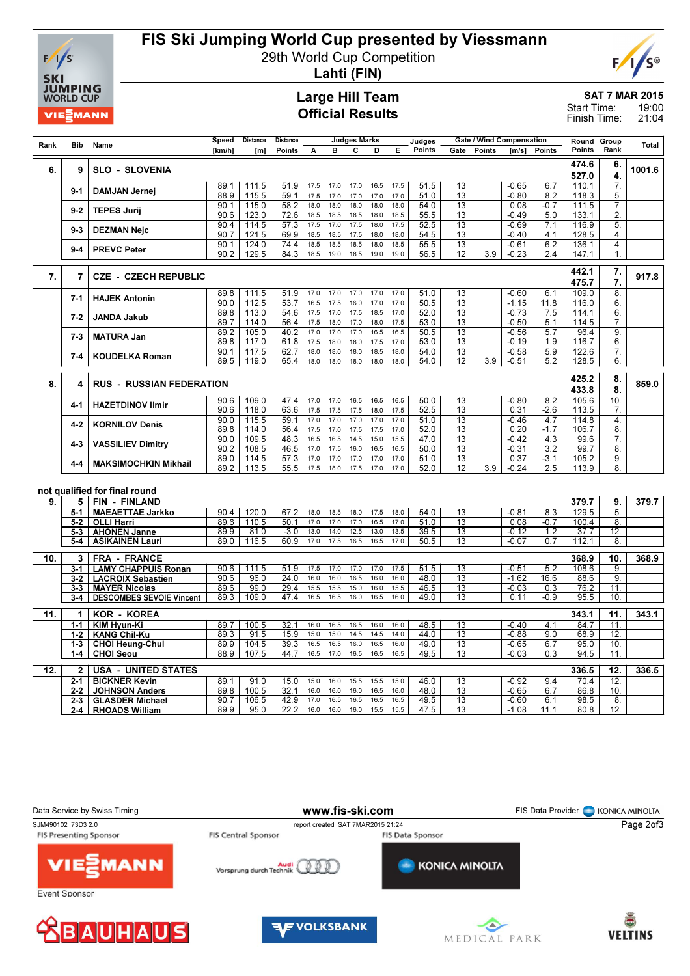

## FIS Ski Jumping World Cup presented by Viessmann

29th World Cup Competition



Lahti (FIN)

### Large Hill Team Official Results

SAT 7 MAR 2015 19:00 21:04 Start Time: Finish Time:

| Rank | Bib                | Name                                           | Speed        | Distance       | Distance                  |              |              | <b>Judges Marks</b> |              |              | Judges       |                       | Gate / Wind Compensation |                    |               | Round                     | Group                  | <b>Total</b> |
|------|--------------------|------------------------------------------------|--------------|----------------|---------------------------|--------------|--------------|---------------------|--------------|--------------|--------------|-----------------------|--------------------------|--------------------|---------------|---------------------------|------------------------|--------------|
|      |                    |                                                | [km/h]       | [m]            | Points                    | A            | в            | С                   | D            | Е            | Points       | Gate                  | Points                   | [m/s]              | Points        | Points                    | Rank                   |              |
| 6.   | 9                  | <b>SLO - SLOVENIA</b>                          |              |                |                           |              |              |                     |              |              |              |                       |                          |                    |               | 474.6<br>527.0            | 6.<br>4.               | 1001.6       |
|      | $9 - 1$            | <b>DAMJAN Jernej</b>                           | 89.1<br>88.9 | 111.5<br>115.5 | 51.9<br>59.1              | 17.5<br>17.5 | 17.0<br>17.0 | 17.0<br>17.0        | 16.5<br>17.0 | 17.5<br>17.0 | 51.5<br>51.0 | 13<br>13              |                          | $-0.65$<br>$-0.80$ | 6.7<br>8.2    | 110.1<br>118.3            | 7.<br>5.               |              |
|      | $9 - 2$            | <b>TEPES Jurij</b>                             | 90.1<br>90.6 | 115.0<br>123.0 | 58.2<br>72.6              | 18.0<br>18.5 | 18.0<br>18.5 | 18.0<br>18.5        | 18.0<br>18.0 | 18.0<br>18.5 | 54.0<br>55.5 | 13<br>13              |                          | 0.08<br>$-0.49$    | $-0.7$<br>5.0 | 111.5<br>133.1            | 7.<br>2.               |              |
|      | $9 - 3$            | <b>DEZMAN Nejc</b>                             | 90.4         | 114.5          | 57.3                      | 17.5         | 17.0         | 17.5                | 18.0         | 17.5         | 52.5         | 13                    |                          | $-0.69$            | 7.1           | 116.9                     | 5.                     |              |
|      |                    |                                                | 90.7         | 121.5          | 69.9                      | 18.5         | 18.5<br>18.5 | 17.5                | 18.0<br>18.0 | 18.0<br>18.5 | 54.5         | 13                    |                          | $-0.40$            | 4.1           | 128.5                     | $\overline{4}$ .<br>4. |              |
|      | $9 - 4$            | <b>PREVC Peter</b>                             | 90.1<br>90.2 | 124.0<br>129.5 | 74.4<br>84.3              | 18.5<br>18.5 | 19.0         | 18.5<br>18.5        | 19.0         | 19.0         | 55.5<br>56.5 | 13<br>12              | 3.9                      | $-0.61$<br>$-0.23$ | 6.2<br>2.4    | 136.1<br>147.1            | 1.                     |              |
|      |                    |                                                |              |                |                           |              |              |                     |              |              |              |                       |                          |                    |               | 442.1                     | 7.                     |              |
| 7.   | $\overline{7}$     | <b>CZE - CZECH REPUBLIC</b>                    |              |                |                           |              |              |                     |              |              |              |                       |                          |                    |               | 475.7                     | 7.                     | 917.8        |
|      | $7 - 1$            | <b>HAJEK Antonin</b>                           | 89.8         | 111.5          | 51.9                      | 17.0         | 17.0         | 17.0                | 17.0         | 17.0         | 51.0         | 13                    |                          | $-0.60$            | 6.1           | 109.0                     | 8.                     |              |
|      |                    |                                                | 90.0<br>89.8 | 112.5<br>113.0 | 53.7<br>54.6              | 16.5<br>17.5 | 17.5<br>17.0 | 16.0<br>17.5        | 17.0<br>18.5 | 17.0<br>17.0 | 50.5<br>52.0 | 13<br>13              |                          | $-1.15$<br>$-0.73$ | 11.8<br>7.5   | 116.0<br>114.1            | 6.<br>6.               |              |
|      | $7 - 2$            | <b>JANDA Jakub</b>                             | 89.7         | 114.0          | 56.4                      | 17.5         | 18.0         | 17.0                | 18.0         | 17.5         | 53.0         | 13                    |                          | $-0.50$            | 5.1           | 114.5                     | 7.                     |              |
|      | $7 - 3$            | <b>MATURA Jan</b>                              | 89.2         | 105.0          | 40.2                      | 17.0         | 17.0         | 17.0                | 16.5         | 16.5         | 50.5         | 13                    |                          | $-0.56$            | 5.7           | 96.4                      | 9.                     |              |
|      |                    |                                                | 89.8<br>90.1 | 117.0<br>117.5 | 61.8<br>62.7              | 17.5<br>18.0 | 18.0<br>18.0 | 18.0<br>18.0        | 17.5<br>18.5 | 17.0<br>18.0 | 53.0<br>54.0 | 13<br>13              |                          | $-0.19$<br>$-0.58$ | 1.9<br>5.9    | 116.7<br>122.6            | 6.<br>7.               |              |
|      | $7 - 4$            | <b>KOUDELKA Roman</b>                          | 89.5         | 119.0          | 65.4                      | 18.0         | 18.0         | 18.0                | 18.0         | 18.0         | 54.0         | 12                    | 3.9                      | $-0.51$            | 5.2           | 128.5                     | 6.                     |              |
|      |                    |                                                |              |                |                           |              |              |                     |              |              |              |                       |                          |                    |               | 425.2                     | 8.                     |              |
| 8.   | 4                  | <b>RUS - RUSSIAN FEDERATION</b>                |              |                |                           |              |              |                     |              |              |              |                       |                          |                    |               | 433.8                     | 8.                     | 859.0        |
|      | 4-1                | <b>HAZETDINOV Ilmir</b>                        | 90.6         | 109.0          | 47.4                      | 17.0         | 17.0         | 16.5                | 16.5         | 16.5         | 50.0         | 13                    |                          | $-0.80$            | 8.2           | 105.6                     | 10.                    |              |
|      |                    |                                                | 90.6<br>90.0 | 118.0<br>115.5 | 63.6<br>59.1              | 17.5<br>17.0 | 17.5<br>17.0 | 17.5<br>17.0        | 18.0<br>17.0 | 17.5<br>17.0 | 52.5<br>51.0 | 13<br>$\overline{13}$ |                          | 0.31<br>$-0.46$    | $-2.6$<br>4.7 | 113.5<br>114.8            | 7.<br>$\overline{4}$ . |              |
|      | 4-2                | <b>KORNILOV Denis</b>                          | 89.8         | 114.0          | 56.4                      | 17.5         | 17.0         | 17.5                | 17.5         | 17.0         | 52.0         | 13                    |                          | 0.20               | $-1.7$        | 106.7                     | 8.                     |              |
|      | 4-3                | <b>VASSILIEV Dimitry</b>                       | 90.0         | 109.5          | 48.3                      | 16.5         | 16.5         | 14.5                | 15.0         | 15.5         | 47.0         | 13                    |                          | $-0.42$            | 4.3           | 99.6                      | 7.                     |              |
|      |                    |                                                | 90.2<br>89.0 | 108.5<br>114.5 | 46.5<br>$\overline{57.3}$ | 17.0<br>17.0 | 17.5<br>17.0 | 16.0<br>17.0        | 16.5<br>17.0 | 16.5<br>17.0 | 50.0<br>51.0 | 13<br>13              |                          | $-0.31$<br>0.37    | 3.2<br>$-3.1$ | 99.7<br>105.2             | 8.<br>9.               |              |
|      | 4-4                | <b>MAKSIMOCHKIN Mikhail</b>                    | 89.2         | 113.5          | 55.5                      | 17.5         | 18.0         | 17.5                | 17.0         | 17.0         | 52.0         | 12                    | 3.9                      | $-0.24$            | 2.5           | 113.9                     | 8.                     |              |
|      |                    |                                                |              |                |                           |              |              |                     |              |              |              |                       |                          |                    |               |                           |                        |              |
| 9.   | 5                  | not qualified for final round<br>FIN - FINLAND |              |                |                           |              |              |                     |              |              |              |                       |                          |                    |               | 379.7                     | 9.                     | 379.7        |
|      | $5 - 1$            | <b>MAEAETTAE Jarkko</b>                        | 90.4         | 120.0          | 67.2                      | 18.0         | 18.5         | 18.0                | 17.5         | 18.0         | 54.0         | 13                    |                          | $-0.81$            | 8.3           | 129.5                     | 5.                     |              |
|      | $5 - 2$            | <b>OLLI Harri</b>                              | 89.6         | 110.5          | 50.1                      | 17.0         | 17.0         | 17.0                | 16.5         | 17.0         | 51.0         | 13                    |                          | 0.08               | $-0.7$        | 100.4                     | 8.                     |              |
|      | 5-3                | <b>AHONEN Janne</b>                            | 89.9         | 81.0           | $-3.0$                    | 13.0         | 14.0         | 12.5                | 13.0         | 13.5         | 39.5         | 13                    |                          | $-0.12$            | 1.2           | 37.7                      | 12.                    |              |
|      | 5-4                | <b>ASIKAINEN Lauri</b>                         | 89.0         | 116.5          | 60.9                      | 17.0         | 17.5         | 16.5                | 16.5         | 17.0         | 50.5         | 13                    |                          | $-0.07$            | 0.7           | 112.1                     | 8.                     |              |
| 10.  | 3                  | <b>FRA - FRANCE</b>                            |              |                |                           |              |              |                     |              |              |              |                       |                          |                    |               | 368.9                     | 10.                    | 368.9        |
|      | $3 - 1$            | <b>LAMY CHAPPUIS Ronan</b>                     | 90.6         | 111.5          | 51.9                      | 17.5         | 17.0         | 17.0                | 17.0         | 17.5         | 51.5         | 13                    |                          | $-0.51$            | 5.2           | 108.6                     | 9.                     |              |
|      | $3 - 2$            | <b>LACROIX Sebastien</b>                       | 90.6         | 96.0           | 24.0                      | 16.0         | 16.0         | 16.5                | 16.0         | 16.0         | 48.0         | 13                    |                          | $-1.62$            | 16.6          | 88.6                      | 9.                     |              |
|      | 3-3                | <b>MAYER Nicolas</b>                           | 89.6         | 99.0<br>109.0  | 29.4<br>47.4              | 15.5<br>16.5 | 15.5<br>16.5 | 15.0<br>16.0        | 16.0<br>16.5 | 15.5<br>16.0 | 46.5<br>49.0 | 13<br>13              |                          | $-0.03$            | 0.3           | 76.2<br>$95.\overline{5}$ | 11.<br>10.             |              |
|      | $3-4$              | <b>DESCOMBES SEVOIE Vincent</b>                | 89.3         |                |                           |              |              |                     |              |              |              |                       |                          | 0.11               | -0.9          |                           |                        |              |
| 11.  | 1                  | <b>KOR - KOREA</b>                             |              |                |                           |              |              |                     |              |              |              |                       |                          |                    |               | 343.1                     | 11.                    | 343.1        |
|      | $1 - 1$            | KIM Hyun-Ki                                    | 89.7         | 100.5          | 32.1                      | 16.0         | 16.5         | 16.5                | 16.0         | 16.0         | 48.5         | 13                    |                          | $-0.40$            | 4.1           | 84.7                      | 11                     |              |
|      | $1 - 2$<br>$1 - 3$ | <b>KANG Chil-Ku</b><br><b>CHOI Heung-Chul</b>  | 89.3<br>89.9 | 91.5<br>104.5  | 15.9<br>39.3              | 15.0<br>16.5 | 15.0<br>16.5 | 14.5<br>16.0        | 14.5<br>16.5 | 14.0<br>16.0 | 44.0<br>49.0 | 13<br>13              |                          | $-0.88$<br>$-0.65$ | 9.0<br>6.7    | 68.9<br>95.0              | 12.<br>10.             |              |
|      | 1-4                | <b>CHOI Seou</b>                               | 88.9         | 107.5          | 44.7                      | 16.5         | 17.0         | 16.5                | 16.5         | 16.5         | 49.5         | 13                    |                          | $-0.03$            | 0.3           | 94.5                      | 11.                    |              |
|      |                    |                                                |              |                |                           |              |              |                     |              |              |              |                       |                          |                    |               |                           |                        |              |
| 12.  | $\mathbf{2}$       | <b>USA - UNITED STATES</b>                     |              |                |                           |              |              |                     |              |              |              |                       |                          |                    |               | 336.5                     | 12.                    | 336.5        |
|      | 2-1<br>$2 - 2$     | <b>BICKNER Kevin</b><br><b>JOHNSON Anders</b>  | 89.1<br>89.8 | 91.0<br>100.5  | 15.0<br>32.1              | 15.0<br>16.0 | 16.0<br>16.0 | 15.5<br>16.0        | 15.5<br>16.5 | 15.0<br>16.0 | 46.0<br>48.0 | 13<br>13              |                          | $-0.92$<br>$-0.65$ | 9.4<br>6.7    | 70.4<br>86.8              | 12.<br>10.             |              |
|      | $2 - 3$            | <b>GLASDER Michael</b>                         | 90.7         | 106.5          | 42.9                      | 17.0         | 16.5         | 16.5                | 16.5         | 16.5         | 49.5         | $\overline{13}$       |                          | $-0.60$            | 6.1           | 98.5                      | 8.                     |              |
|      | 2-4                | <b>RHOADS William</b>                          | 89.9         | 95.0           | 22.2                      | 16.0         | 16.0         | 16.0                | 15.5         | 15.5         | 47.5         | $\overline{13}$       |                          | $-1.08$            | 11.1          | 80.8                      | 12.                    |              |
|      |                    |                                                |              |                |                           |              |              |                     |              |              |              |                       |                          |                    |               |                           |                        |              |